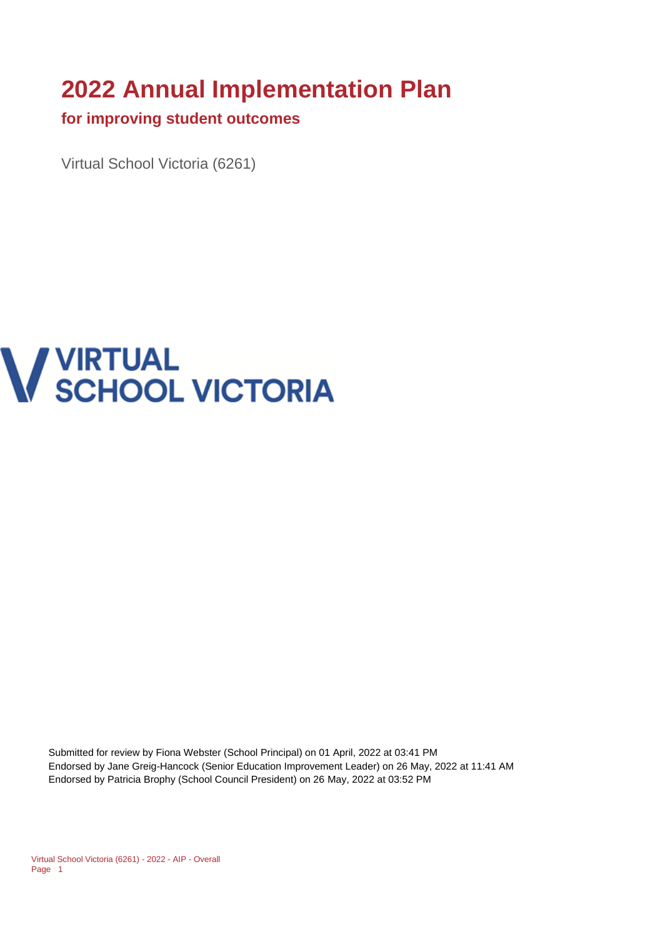# **2022 Annual Implementation Plan**

#### **for improving student outcomes**

Virtual School Victoria (6261)

# **V VIRTUAL<br>V SCHOOL VICTORIA**

Submitted for review by Fiona Webster (School Principal) on 01 April, 2022 at 03:41 PM Endorsed by Jane Greig-Hancock (Senior Education Improvement Leader) on 26 May, 2022 at 11:41 AM Endorsed by Patricia Brophy (School Council President) on 26 May, 2022 at 03:52 PM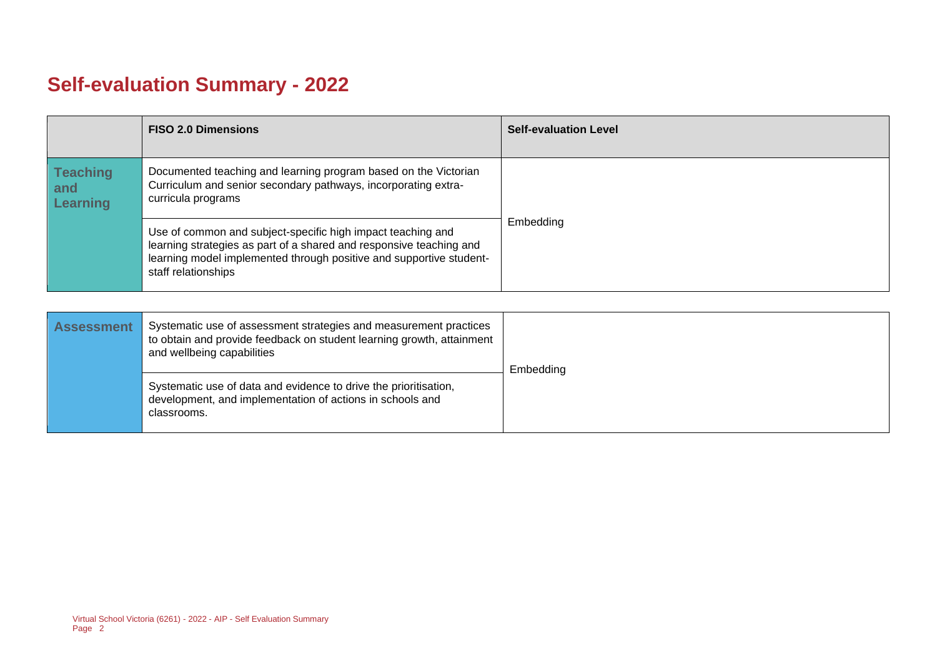## **Self-evaluation Summary - 2022**

|                                           | <b>FISO 2.0 Dimensions</b>                                                                                                                                                                                                       | <b>Self-evaluation Level</b> |
|-------------------------------------------|----------------------------------------------------------------------------------------------------------------------------------------------------------------------------------------------------------------------------------|------------------------------|
| <b>Teaching</b><br>and<br><b>Learning</b> | Documented teaching and learning program based on the Victorian<br>Curriculum and senior secondary pathways, incorporating extra-<br>curricula programs                                                                          |                              |
|                                           | Use of common and subject-specific high impact teaching and<br>learning strategies as part of a shared and responsive teaching and<br>learning model implemented through positive and supportive student-<br>staff relationships | Embedding                    |

| <b>Assessment</b> | Systematic use of assessment strategies and measurement practices<br>to obtain and provide feedback on student learning growth, attainment<br>and wellbeing capabilities | Embedding |
|-------------------|--------------------------------------------------------------------------------------------------------------------------------------------------------------------------|-----------|
|                   | Systematic use of data and evidence to drive the prioritisation,<br>development, and implementation of actions in schools and<br>classrooms.                             |           |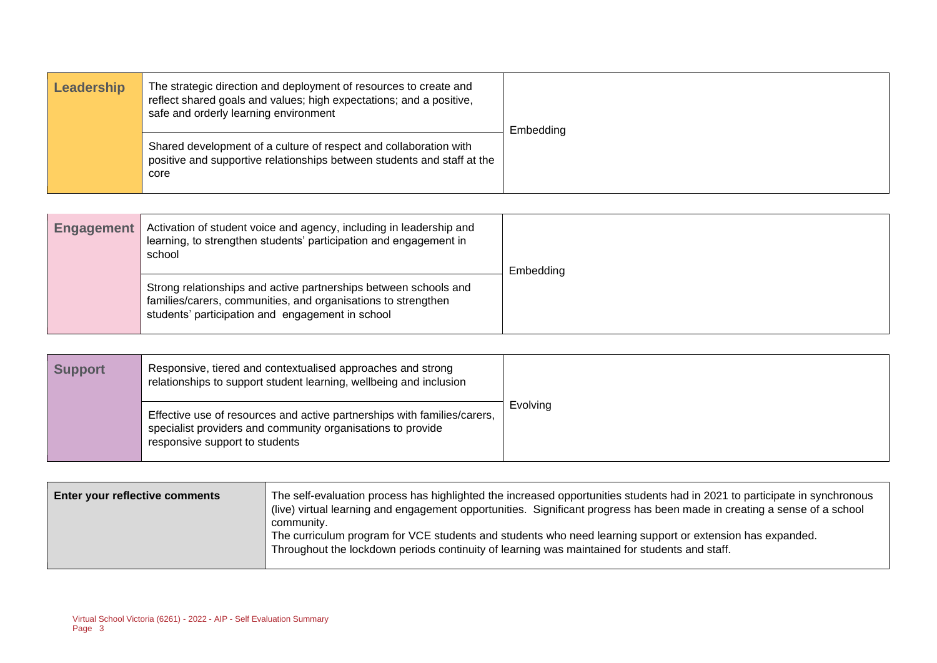| Leadership | The strategic direction and deployment of resources to create and<br>reflect shared goals and values; high expectations; and a positive,<br>safe and orderly learning environment | Embedding |
|------------|-----------------------------------------------------------------------------------------------------------------------------------------------------------------------------------|-----------|
|            | Shared development of a culture of respect and collaboration with<br>positive and supportive relationships between students and staff at the<br>core                              |           |

| <b>Engagement</b> | Activation of student voice and agency, including in leadership and<br>learning, to strengthen students' participation and engagement in<br>school                                    | Embedding |
|-------------------|---------------------------------------------------------------------------------------------------------------------------------------------------------------------------------------|-----------|
|                   | Strong relationships and active partnerships between schools and<br>families/carers, communities, and organisations to strengthen<br>students' participation and engagement in school |           |

| <b>Support</b> | Responsive, tiered and contextualised approaches and strong<br>relationships to support student learning, wellbeing and inclusion                                         |          |
|----------------|---------------------------------------------------------------------------------------------------------------------------------------------------------------------------|----------|
|                | Effective use of resources and active partnerships with families/carers,<br>specialist providers and community organisations to provide<br>responsive support to students | Evolving |

| <b>Enter your reflective comments</b> | The self-evaluation process has highlighted the increased opportunities students had in 2021 to participate in synchronous<br>(live) virtual learning and engagement opportunities. Significant progress has been made in creating a sense of a school<br>community. |
|---------------------------------------|----------------------------------------------------------------------------------------------------------------------------------------------------------------------------------------------------------------------------------------------------------------------|
|                                       | The curriculum program for VCE students and students who need learning support or extension has expanded.<br>Throughout the lockdown periods continuity of learning was maintained for students and staff.                                                           |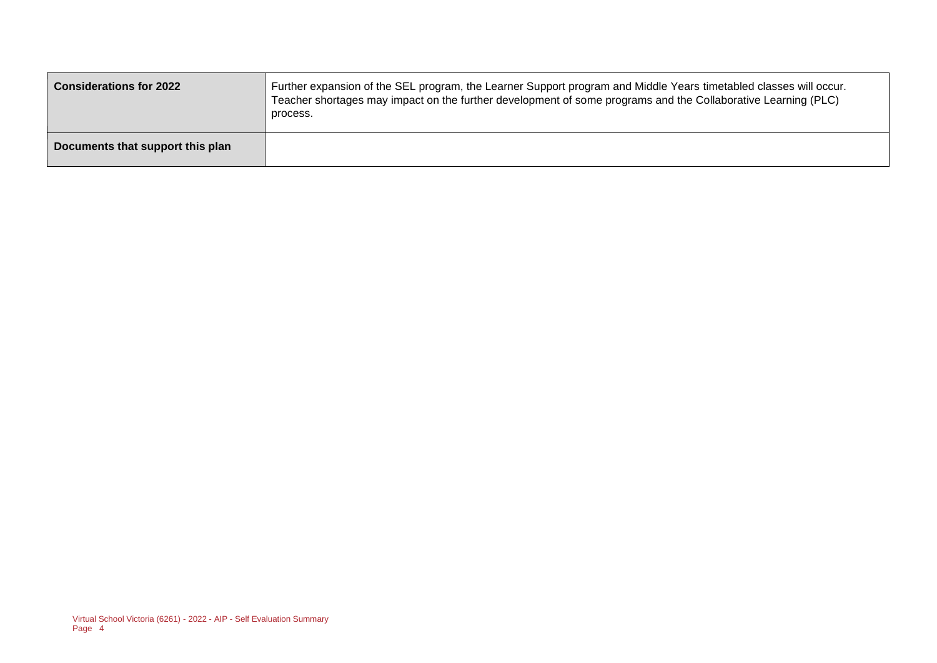| <b>Considerations for 2022</b>   | Further expansion of the SEL program, the Learner Support program and Middle Years timetabled classes will occur.<br>Teacher shortages may impact on the further development of some programs and the Collaborative Learning (PLC)<br>process. |
|----------------------------------|------------------------------------------------------------------------------------------------------------------------------------------------------------------------------------------------------------------------------------------------|
| Documents that support this plan |                                                                                                                                                                                                                                                |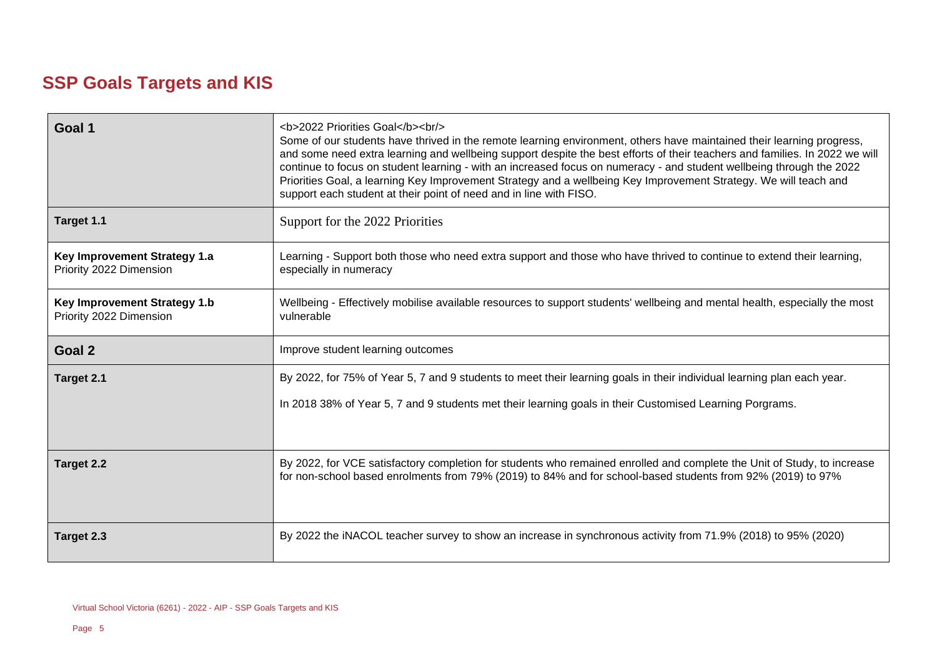## **SSP Goals Targets and KIS**

| Goal 1                                                  | <b>2022 Priorities Goal</b><br><br><br>Some of our students have thrived in the remote learning environment, others have maintained their learning progress,<br>and some need extra learning and wellbeing support despite the best efforts of their teachers and families. In 2022 we will<br>continue to focus on student learning - with an increased focus on numeracy - and student wellbeing through the 2022<br>Priorities Goal, a learning Key Improvement Strategy and a wellbeing Key Improvement Strategy. We will teach and<br>support each student at their point of need and in line with FISO. |
|---------------------------------------------------------|---------------------------------------------------------------------------------------------------------------------------------------------------------------------------------------------------------------------------------------------------------------------------------------------------------------------------------------------------------------------------------------------------------------------------------------------------------------------------------------------------------------------------------------------------------------------------------------------------------------|
| Target 1.1                                              | Support for the 2022 Priorities                                                                                                                                                                                                                                                                                                                                                                                                                                                                                                                                                                               |
| Key Improvement Strategy 1.a<br>Priority 2022 Dimension | Learning - Support both those who need extra support and those who have thrived to continue to extend their learning,<br>especially in numeracy                                                                                                                                                                                                                                                                                                                                                                                                                                                               |
| Key Improvement Strategy 1.b<br>Priority 2022 Dimension | Wellbeing - Effectively mobilise available resources to support students' wellbeing and mental health, especially the most<br>vulnerable                                                                                                                                                                                                                                                                                                                                                                                                                                                                      |
| Goal 2                                                  | Improve student learning outcomes                                                                                                                                                                                                                                                                                                                                                                                                                                                                                                                                                                             |
| Target 2.1                                              | By 2022, for 75% of Year 5, 7 and 9 students to meet their learning goals in their individual learning plan each year.                                                                                                                                                                                                                                                                                                                                                                                                                                                                                        |
|                                                         | In 2018 38% of Year 5, 7 and 9 students met their learning goals in their Customised Learning Porgrams.                                                                                                                                                                                                                                                                                                                                                                                                                                                                                                       |
| Target 2.2                                              | By 2022, for VCE satisfactory completion for students who remained enrolled and complete the Unit of Study, to increase<br>for non-school based enrolments from 79% (2019) to 84% and for school-based students from 92% (2019) to 97%                                                                                                                                                                                                                                                                                                                                                                        |
| Target 2.3                                              | By 2022 the iNACOL teacher survey to show an increase in synchronous activity from 71.9% (2018) to 95% (2020)                                                                                                                                                                                                                                                                                                                                                                                                                                                                                                 |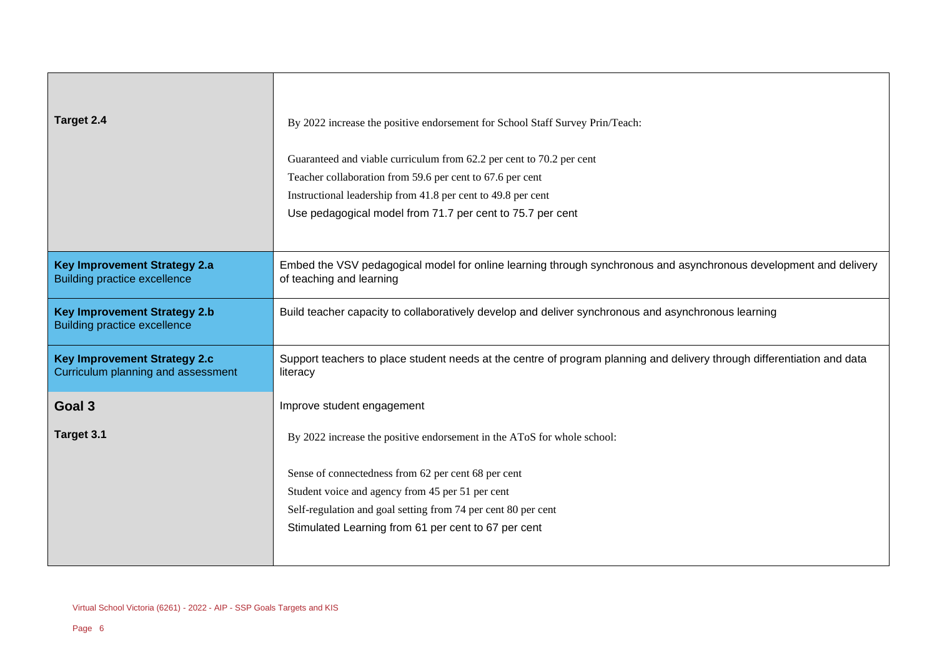| Target 2.4                                                                 | By 2022 increase the positive endorsement for School Staff Survey Prin/Teach:                                                                 |
|----------------------------------------------------------------------------|-----------------------------------------------------------------------------------------------------------------------------------------------|
|                                                                            |                                                                                                                                               |
|                                                                            | Guaranteed and viable curriculum from 62.2 per cent to 70.2 per cent                                                                          |
|                                                                            | Teacher collaboration from 59.6 per cent to 67.6 per cent                                                                                     |
|                                                                            | Instructional leadership from 41.8 per cent to 49.8 per cent                                                                                  |
|                                                                            | Use pedagogical model from 71.7 per cent to 75.7 per cent                                                                                     |
|                                                                            |                                                                                                                                               |
| <b>Key Improvement Strategy 2.a</b><br><b>Building practice excellence</b> | Embed the VSV pedagogical model for online learning through synchronous and asynchronous development and delivery<br>of teaching and learning |
| <b>Key Improvement Strategy 2.b</b><br><b>Building practice excellence</b> | Build teacher capacity to collaboratively develop and deliver synchronous and asynchronous learning                                           |
| <b>Key Improvement Strategy 2.c</b><br>Curriculum planning and assessment  | Support teachers to place student needs at the centre of program planning and delivery through differentiation and data<br>literacy           |
| Goal 3                                                                     | Improve student engagement                                                                                                                    |
| Target 3.1                                                                 | By 2022 increase the positive endorsement in the AToS for whole school:                                                                       |
|                                                                            | Sense of connectedness from 62 per cent 68 per cent                                                                                           |
|                                                                            | Student voice and agency from 45 per 51 per cent                                                                                              |
|                                                                            | Self-regulation and goal setting from 74 per cent 80 per cent                                                                                 |
|                                                                            | Stimulated Learning from 61 per cent to 67 per cent                                                                                           |
|                                                                            |                                                                                                                                               |

Г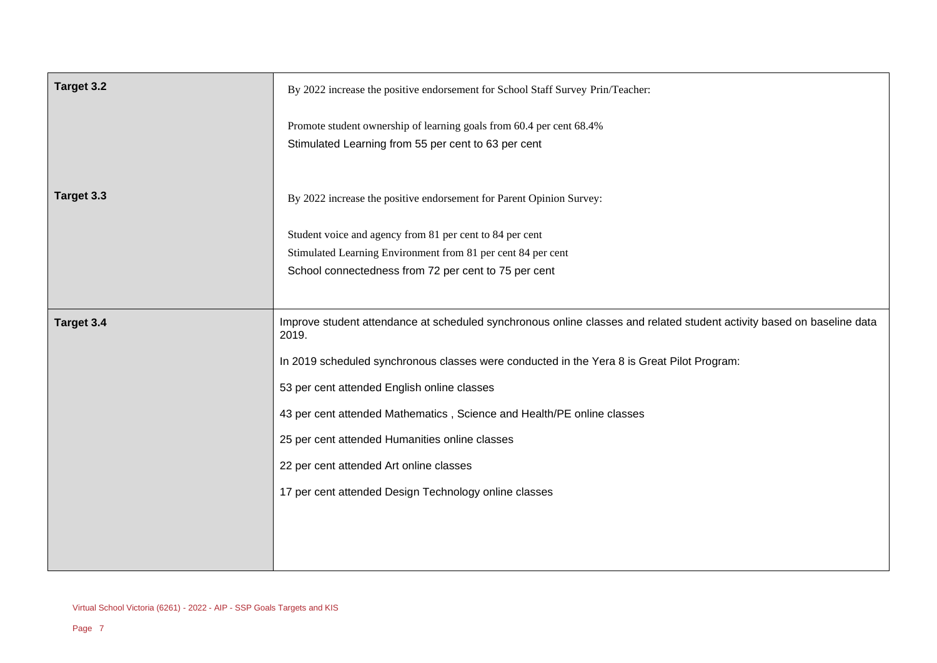| Target 3.2 | By 2022 increase the positive endorsement for School Staff Survey Prin/Teacher:                                                                                                  |
|------------|----------------------------------------------------------------------------------------------------------------------------------------------------------------------------------|
|            | Promote student ownership of learning goals from 60.4 per cent 68.4%<br>Stimulated Learning from 55 per cent to 63 per cent                                                      |
| Target 3.3 | By 2022 increase the positive endorsement for Parent Opinion Survey:                                                                                                             |
|            | Student voice and agency from 81 per cent to 84 per cent<br>Stimulated Learning Environment from 81 per cent 84 per cent<br>School connectedness from 72 per cent to 75 per cent |
| Target 3.4 | Improve student attendance at scheduled synchronous online classes and related student activity based on baseline data<br>2019.                                                  |
|            | In 2019 scheduled synchronous classes were conducted in the Yera 8 is Great Pilot Program:                                                                                       |
|            | 53 per cent attended English online classes                                                                                                                                      |
|            | 43 per cent attended Mathematics, Science and Health/PE online classes                                                                                                           |
|            | 25 per cent attended Humanities online classes                                                                                                                                   |
|            | 22 per cent attended Art online classes                                                                                                                                          |
|            | 17 per cent attended Design Technology online classes                                                                                                                            |
|            |                                                                                                                                                                                  |
|            |                                                                                                                                                                                  |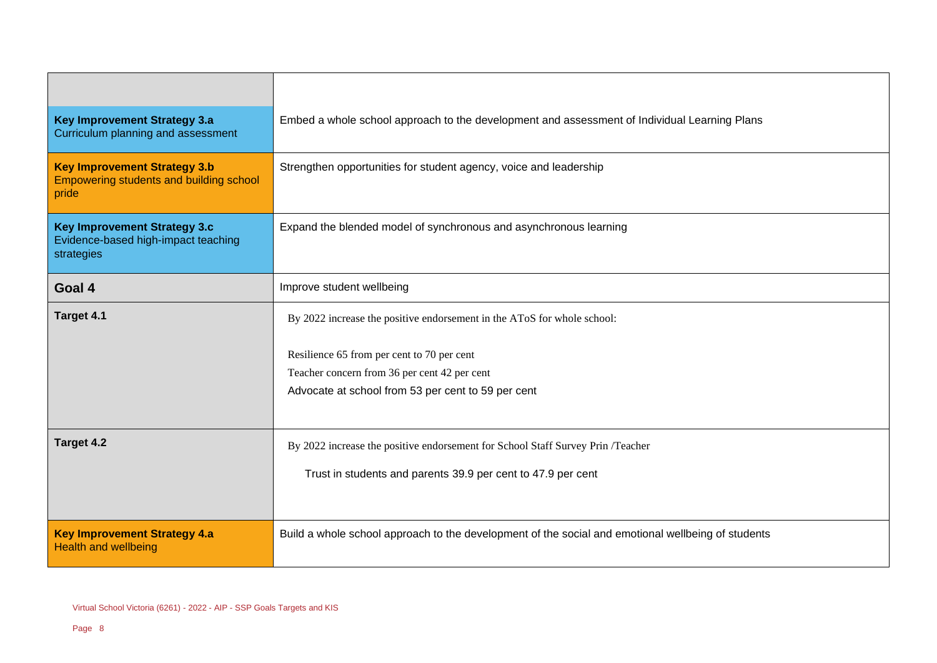| <b>Key Improvement Strategy 3.a</b><br>Curriculum planning and assessment                | Embed a whole school approach to the development and assessment of Individual Learning Plans       |
|------------------------------------------------------------------------------------------|----------------------------------------------------------------------------------------------------|
| <b>Key Improvement Strategy 3.b</b><br>Empowering students and building school<br>pride  | Strengthen opportunities for student agency, voice and leadership                                  |
| <b>Key Improvement Strategy 3.c</b><br>Evidence-based high-impact teaching<br>strategies | Expand the blended model of synchronous and asynchronous learning                                  |
| Goal 4                                                                                   | Improve student wellbeing                                                                          |
| Target 4.1                                                                               | By 2022 increase the positive endorsement in the AToS for whole school:                            |
|                                                                                          | Resilience 65 from per cent to 70 per cent                                                         |
|                                                                                          | Teacher concern from 36 per cent 42 per cent                                                       |
|                                                                                          | Advocate at school from 53 per cent to 59 per cent                                                 |
|                                                                                          |                                                                                                    |
| Target 4.2                                                                               | By 2022 increase the positive endorsement for School Staff Survey Prin /Teacher                    |
|                                                                                          | Trust in students and parents 39.9 per cent to 47.9 per cent                                       |
|                                                                                          |                                                                                                    |
| <b>Key Improvement Strategy 4.a</b><br><b>Health and wellbeing</b>                       | Build a whole school approach to the development of the social and emotional wellbeing of students |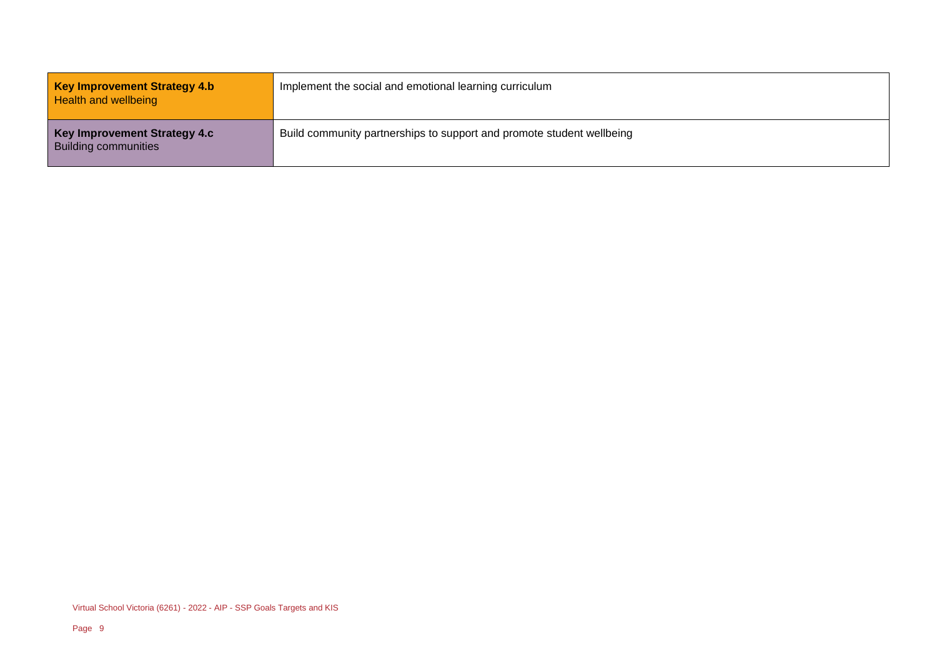| <b>Key Improvement Strategy 4.b</b><br>Health and wellbeing        | Implement the social and emotional learning curriculum                |
|--------------------------------------------------------------------|-----------------------------------------------------------------------|
| <b>Key Improvement Strategy 4.c</b><br><b>Building communities</b> | Build community partnerships to support and promote student wellbeing |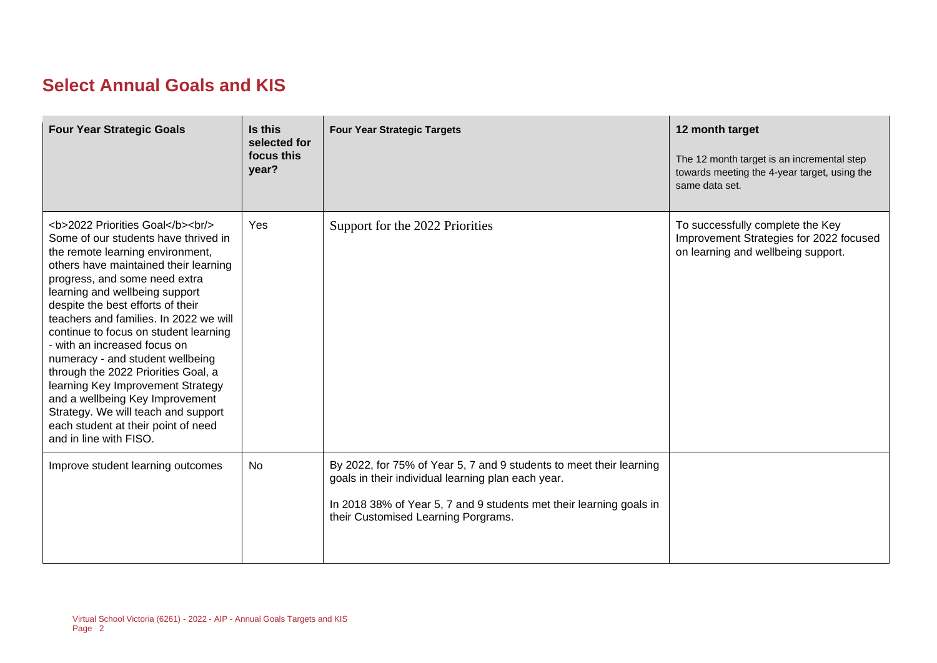## **Select Annual Goals and KIS**

| <b>Four Year Strategic Goals</b>                                                                                                                                                              | Is this<br>selected for<br>focus this<br>year? | <b>Four Year Strategic Targets</b>                                                                                                                                                                                                      | 12 month target<br>The 12 month target is an incremental step<br>towards meeting the 4-year target, using the<br>same data set. |
|-----------------------------------------------------------------------------------------------------------------------------------------------------------------------------------------------|------------------------------------------------|-----------------------------------------------------------------------------------------------------------------------------------------------------------------------------------------------------------------------------------------|---------------------------------------------------------------------------------------------------------------------------------|
| <b>2022 Priorities Goal</b><br><br><br>Some of our students have thrived in<br>the remote learning environment,<br>others have maintained their learning<br>progress, and some need extra<br> | Yes                                            | Support for the 2022 Priorities                                                                                                                                                                                                         | To successfully complete the Key<br>Improvement Strategies for 2022 focused<br>on learning and wellbeing support.               |
| Improve student learning outcomes                                                                                                                                                             | No                                             | By 2022, for 75% of Year 5, 7 and 9 students to meet their learning<br>goals in their individual learning plan each year.<br>In 2018 38% of Year 5, 7 and 9 students met their learning goals in<br>their Customised Learning Porgrams. |                                                                                                                                 |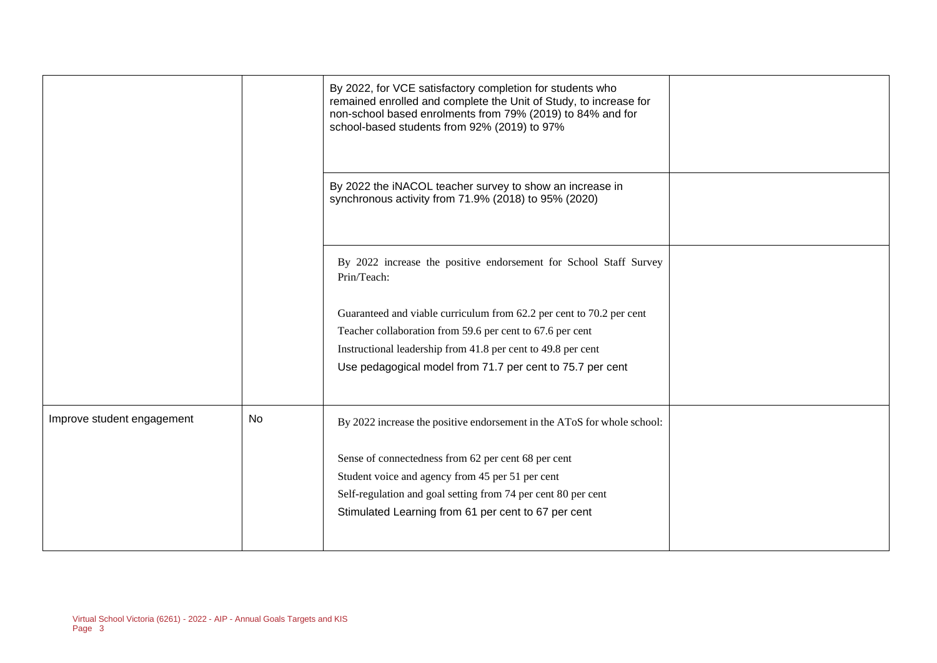|                            |    | By 2022, for VCE satisfactory completion for students who<br>remained enrolled and complete the Unit of Study, to increase for<br>non-school based enrolments from 79% (2019) to 84% and for<br>school-based students from 92% (2019) to 97% |  |
|----------------------------|----|----------------------------------------------------------------------------------------------------------------------------------------------------------------------------------------------------------------------------------------------|--|
|                            |    | By 2022 the iNACOL teacher survey to show an increase in<br>synchronous activity from 71.9% (2018) to 95% (2020)                                                                                                                             |  |
|                            |    | By 2022 increase the positive endorsement for School Staff Survey<br>Prin/Teach:                                                                                                                                                             |  |
|                            |    | Guaranteed and viable curriculum from 62.2 per cent to 70.2 per cent                                                                                                                                                                         |  |
|                            |    | Teacher collaboration from 59.6 per cent to 67.6 per cent                                                                                                                                                                                    |  |
|                            |    | Instructional leadership from 41.8 per cent to 49.8 per cent                                                                                                                                                                                 |  |
|                            |    | Use pedagogical model from 71.7 per cent to 75.7 per cent                                                                                                                                                                                    |  |
| Improve student engagement | No | By 2022 increase the positive endorsement in the AToS for whole school:                                                                                                                                                                      |  |
|                            |    | Sense of connectedness from 62 per cent 68 per cent                                                                                                                                                                                          |  |
|                            |    | Student voice and agency from 45 per 51 per cent                                                                                                                                                                                             |  |
|                            |    | Self-regulation and goal setting from 74 per cent 80 per cent                                                                                                                                                                                |  |
|                            |    | Stimulated Learning from 61 per cent to 67 per cent                                                                                                                                                                                          |  |
|                            |    |                                                                                                                                                                                                                                              |  |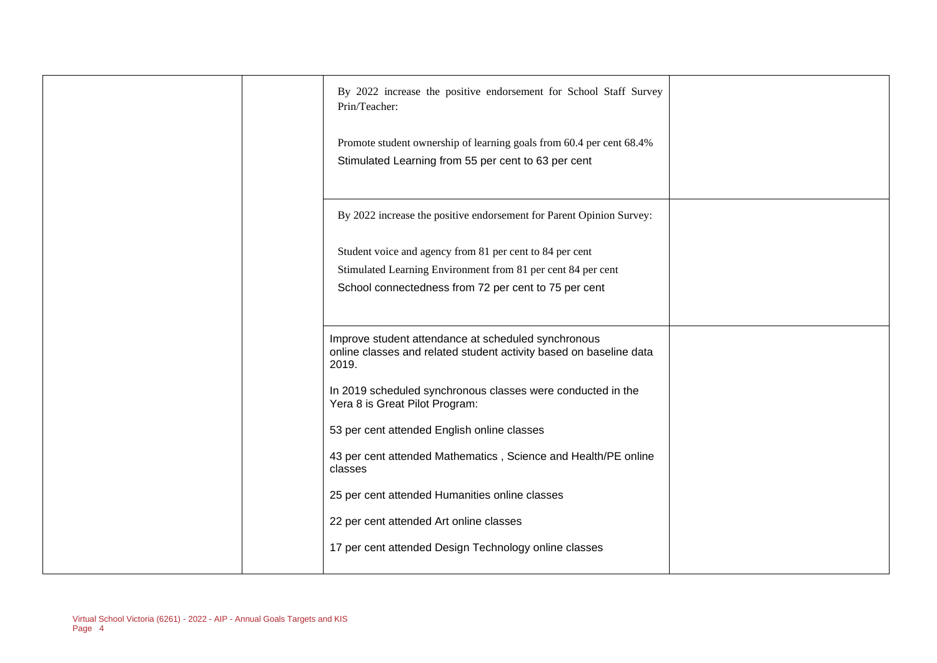| By 2022 increase the positive endorsement for School Staff Survey<br>Prin/Teacher:                                                                                               |  |
|----------------------------------------------------------------------------------------------------------------------------------------------------------------------------------|--|
| Promote student ownership of learning goals from 60.4 per cent 68.4%<br>Stimulated Learning from 55 per cent to 63 per cent                                                      |  |
| By 2022 increase the positive endorsement for Parent Opinion Survey:                                                                                                             |  |
| Student voice and agency from 81 per cent to 84 per cent<br>Stimulated Learning Environment from 81 per cent 84 per cent<br>School connectedness from 72 per cent to 75 per cent |  |
| Improve student attendance at scheduled synchronous<br>online classes and related student activity based on baseline data<br>2019.                                               |  |
| In 2019 scheduled synchronous classes were conducted in the<br>Yera 8 is Great Pilot Program:                                                                                    |  |
| 53 per cent attended English online classes                                                                                                                                      |  |
| 43 per cent attended Mathematics, Science and Health/PE online<br>classes                                                                                                        |  |
| 25 per cent attended Humanities online classes                                                                                                                                   |  |
| 22 per cent attended Art online classes                                                                                                                                          |  |
| 17 per cent attended Design Technology online classes                                                                                                                            |  |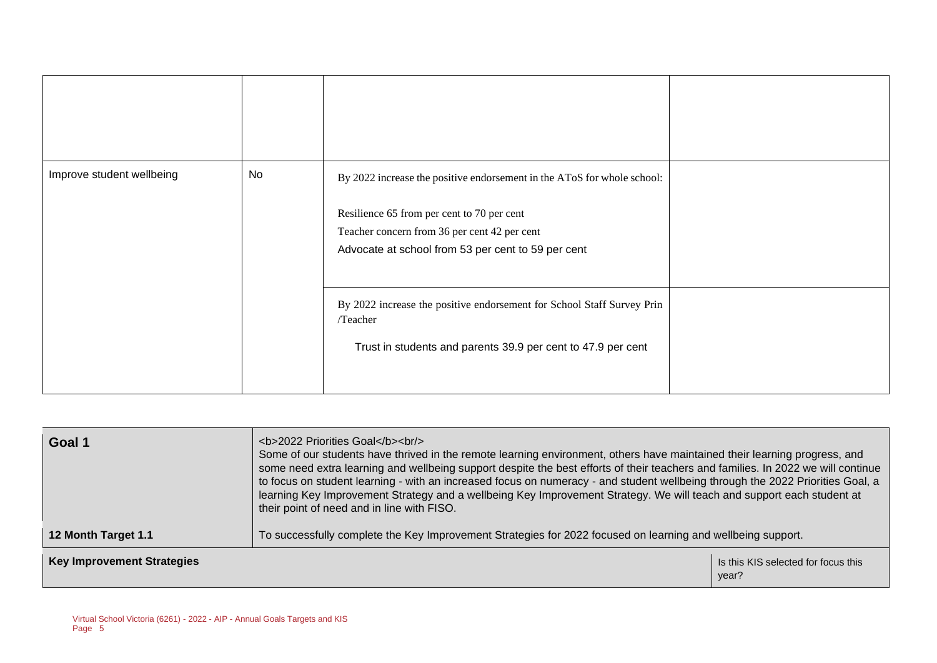| Improve student wellbeing | No | By 2022 increase the positive endorsement in the AToS for whole school:<br>Resilience 65 from per cent to 70 per cent<br>Teacher concern from 36 per cent 42 per cent<br>Advocate at school from 53 per cent to 59 per cent |  |
|---------------------------|----|-----------------------------------------------------------------------------------------------------------------------------------------------------------------------------------------------------------------------------|--|
|                           |    | By 2022 increase the positive endorsement for School Staff Survey Prin<br>/Teacher<br>Trust in students and parents 39.9 per cent to 47.9 per cent                                                                          |  |

| Goal 1                            | <b>2022 Priorities Goal</b><br><br><br>Some of our students have thrived in the remote learning environment, others have maintained their learning progress, and<br>some need extra learning and wellbeing support despite the best efforts of their teachers and families. In 2022 we will continue<br>to focus on student learning - with an increased focus on numeracy - and student wellbeing through the 2022 Priorities Goal, a<br>learning Key Improvement Strategy and a wellbeing Key Improvement Strategy. We will teach and support each student at<br>their point of need and in line with FISO. |  |  |
|-----------------------------------|---------------------------------------------------------------------------------------------------------------------------------------------------------------------------------------------------------------------------------------------------------------------------------------------------------------------------------------------------------------------------------------------------------------------------------------------------------------------------------------------------------------------------------------------------------------------------------------------------------------|--|--|
| 12 Month Target 1.1               | To successfully complete the Key Improvement Strategies for 2022 focused on learning and wellbeing support.                                                                                                                                                                                                                                                                                                                                                                                                                                                                                                   |  |  |
| <b>Key Improvement Strategies</b> | Is this KIS selected for focus this<br>year?                                                                                                                                                                                                                                                                                                                                                                                                                                                                                                                                                                  |  |  |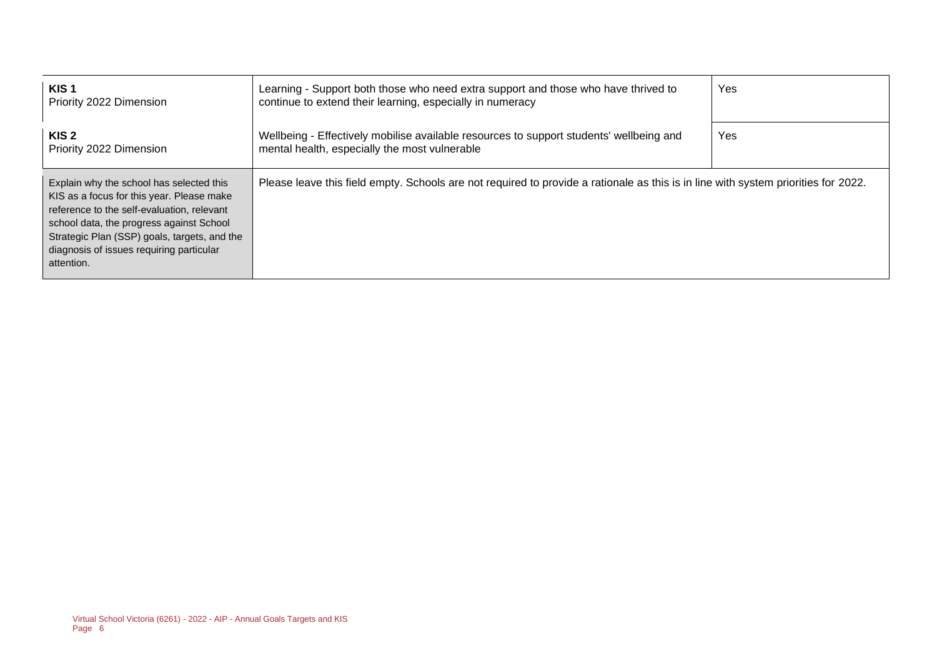| KIS <sub>1</sub><br>Priority 2022 Dimension                                                                                                                                                                                                                                               | Learning - Support both those who need extra support and those who have thrived to<br>continue to extend their learning, especially in numeracy | Yes |
|-------------------------------------------------------------------------------------------------------------------------------------------------------------------------------------------------------------------------------------------------------------------------------------------|-------------------------------------------------------------------------------------------------------------------------------------------------|-----|
| KIS 2<br>Priority 2022 Dimension                                                                                                                                                                                                                                                          | Wellbeing - Effectively mobilise available resources to support students' wellbeing and<br>mental health, especially the most vulnerable        | Yes |
| Explain why the school has selected this<br>KIS as a focus for this year. Please make<br>reference to the self-evaluation, relevant<br>school data, the progress against School<br>Strategic Plan (SSP) goals, targets, and the<br>diagnosis of issues requiring particular<br>attention. | Please leave this field empty. Schools are not required to provide a rationale as this is in line with system priorities for 2022.              |     |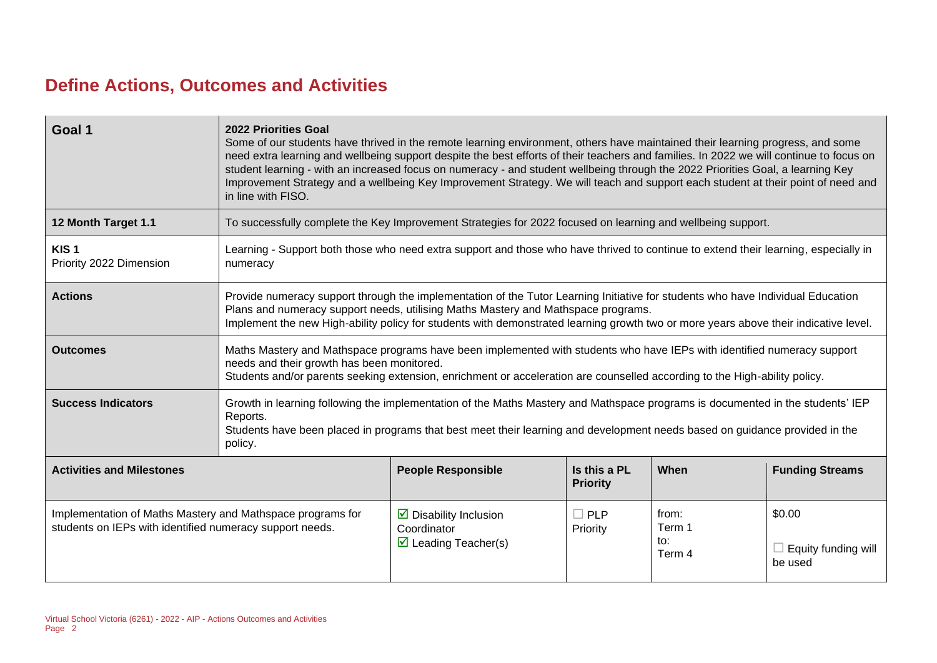## **Define Actions, Outcomes and Activities**

| Goal 1                                                                                                                 | 2022 Priorities Goal<br>Some of our students have thrived in the remote learning environment, others have maintained their learning progress, and some<br>need extra learning and wellbeing support despite the best efforts of their teachers and families. In 2022 we will continue to focus on<br>student learning - with an increased focus on numeracy - and student wellbeing through the 2022 Priorities Goal, a learning Key<br>Improvement Strategy and a wellbeing Key Improvement Strategy. We will teach and support each student at their point of need and<br>in line with FISO. |                                                                                                                                     |                        |                                  |                                                 |
|------------------------------------------------------------------------------------------------------------------------|------------------------------------------------------------------------------------------------------------------------------------------------------------------------------------------------------------------------------------------------------------------------------------------------------------------------------------------------------------------------------------------------------------------------------------------------------------------------------------------------------------------------------------------------------------------------------------------------|-------------------------------------------------------------------------------------------------------------------------------------|------------------------|----------------------------------|-------------------------------------------------|
| 12 Month Target 1.1                                                                                                    |                                                                                                                                                                                                                                                                                                                                                                                                                                                                                                                                                                                                | To successfully complete the Key Improvement Strategies for 2022 focused on learning and wellbeing support.                         |                        |                                  |                                                 |
| KIS <sub>1</sub><br>Priority 2022 Dimension                                                                            | numeracy                                                                                                                                                                                                                                                                                                                                                                                                                                                                                                                                                                                       | Learning - Support both those who need extra support and those who have thrived to continue to extend their learning, especially in |                        |                                  |                                                 |
| <b>Actions</b>                                                                                                         | Provide numeracy support through the implementation of the Tutor Learning Initiative for students who have Individual Education<br>Plans and numeracy support needs, utilising Maths Mastery and Mathspace programs.<br>Implement the new High-ability policy for students with demonstrated learning growth two or more years above their indicative level.                                                                                                                                                                                                                                   |                                                                                                                                     |                        |                                  |                                                 |
| <b>Outcomes</b>                                                                                                        | Maths Mastery and Mathspace programs have been implemented with students who have IEPs with identified numeracy support<br>needs and their growth has been monitored.<br>Students and/or parents seeking extension, enrichment or acceleration are counselled according to the High-ability policy.                                                                                                                                                                                                                                                                                            |                                                                                                                                     |                        |                                  |                                                 |
| <b>Success Indicators</b>                                                                                              | Growth in learning following the implementation of the Maths Mastery and Mathspace programs is documented in the students' IEP<br>Reports.<br>Students have been placed in programs that best meet their learning and development needs based on guidance provided in the<br>policy.                                                                                                                                                                                                                                                                                                           |                                                                                                                                     |                        |                                  |                                                 |
| <b>Activities and Milestones</b>                                                                                       | <b>People Responsible</b><br>Is this a PL<br><b>Funding Streams</b><br>When<br><b>Priority</b>                                                                                                                                                                                                                                                                                                                                                                                                                                                                                                 |                                                                                                                                     |                        |                                  |                                                 |
| Implementation of Maths Mastery and Mathspace programs for<br>students on IEPs with identified numeracy support needs. |                                                                                                                                                                                                                                                                                                                                                                                                                                                                                                                                                                                                | $\triangleright$ Disability Inclusion<br>Coordinator<br>$\triangleright$ Leading Teacher(s)                                         | $\Box$ PLP<br>Priority | from:<br>Term 1<br>to:<br>Term 4 | \$0.00<br>$\Box$ Equity funding will<br>be used |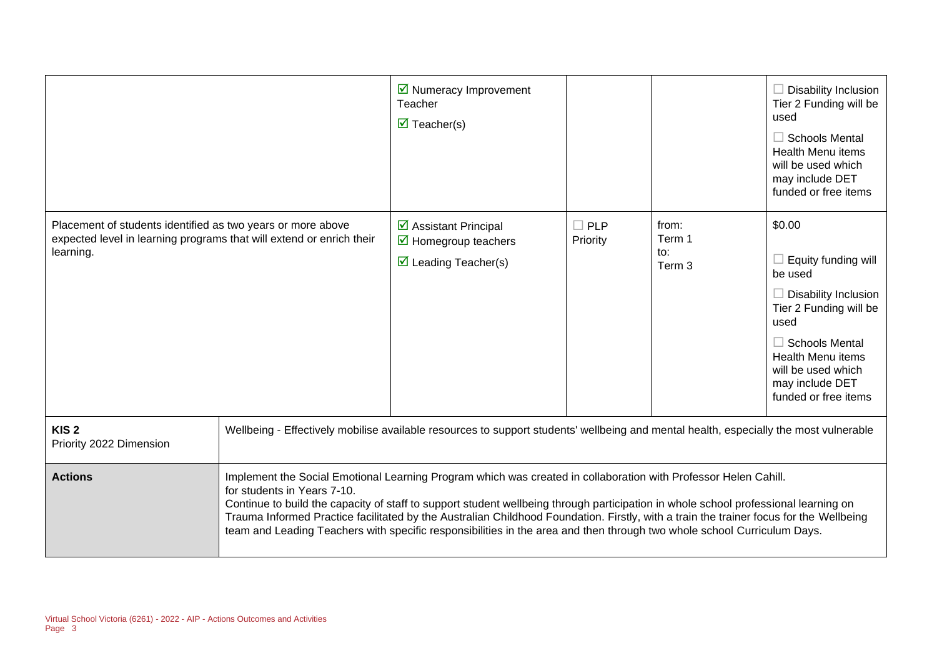|                                                                                                                                                  |                             | $\triangleright$ Numeracy Improvement<br>Teacher<br>$\overline{\mathbf{M}}$ Teacher(s)                                                                                                                                                                                                                                                                                                                                                                                                                                      |                        |                                  | $\Box$ Disability Inclusion<br>Tier 2 Funding will be<br>used<br>$\Box$ Schools Mental<br><b>Health Menu items</b><br>will be used which<br>may include DET<br>funded or free items                                                    |
|--------------------------------------------------------------------------------------------------------------------------------------------------|-----------------------------|-----------------------------------------------------------------------------------------------------------------------------------------------------------------------------------------------------------------------------------------------------------------------------------------------------------------------------------------------------------------------------------------------------------------------------------------------------------------------------------------------------------------------------|------------------------|----------------------------------|----------------------------------------------------------------------------------------------------------------------------------------------------------------------------------------------------------------------------------------|
| Placement of students identified as two years or more above<br>expected level in learning programs that will extend or enrich their<br>learning. |                             | ☑ Assistant Principal<br>$\triangleright$ Homegroup teachers<br>$\triangledown$ Leading Teacher(s)                                                                                                                                                                                                                                                                                                                                                                                                                          | $\Box$ PLP<br>Priority | from:<br>Term 1<br>to:<br>Term 3 | \$0.00<br>$\Box$ Equity funding will<br>be used<br>$\Box$ Disability Inclusion<br>Tier 2 Funding will be<br>used<br>$\Box$ Schools Mental<br><b>Health Menu items</b><br>will be used which<br>may include DET<br>funded or free items |
| KIS <sub>2</sub><br>Priority 2022 Dimension                                                                                                      |                             | Wellbeing - Effectively mobilise available resources to support students' wellbeing and mental health, especially the most vulnerable                                                                                                                                                                                                                                                                                                                                                                                       |                        |                                  |                                                                                                                                                                                                                                        |
| <b>Actions</b>                                                                                                                                   | for students in Years 7-10. | Implement the Social Emotional Learning Program which was created in collaboration with Professor Helen Cahill.<br>Continue to build the capacity of staff to support student wellbeing through participation in whole school professional learning on<br>Trauma Informed Practice facilitated by the Australian Childhood Foundation. Firstly, with a train the trainer focus for the Wellbeing<br>team and Leading Teachers with specific responsibilities in the area and then through two whole school Curriculum Days. |                        |                                  |                                                                                                                                                                                                                                        |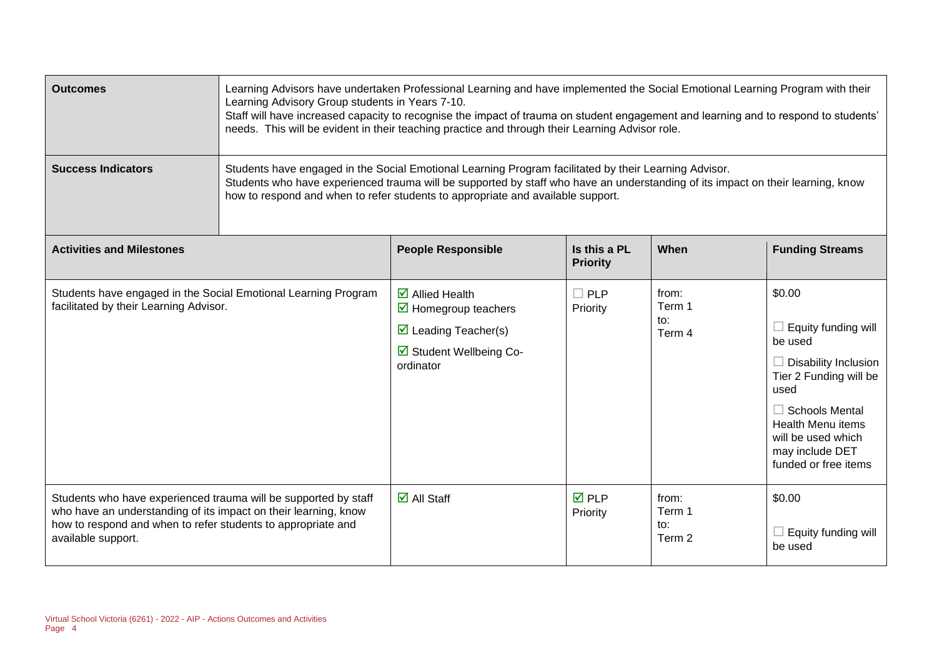| <b>Outcomes</b>                                                                                                                                                                                                          | Learning Advisors have undertaken Professional Learning and have implemented the Social Emotional Learning Program with their<br>Learning Advisory Group students in Years 7-10.<br>Staff will have increased capacity to recognise the impact of trauma on student engagement and learning and to respond to students'<br>needs. This will be evident in their teaching practice and through their Learning Advisor role. |                                                                                                                                              |                                 |                                  |                                                                                                                                                                                                                                 |
|--------------------------------------------------------------------------------------------------------------------------------------------------------------------------------------------------------------------------|----------------------------------------------------------------------------------------------------------------------------------------------------------------------------------------------------------------------------------------------------------------------------------------------------------------------------------------------------------------------------------------------------------------------------|----------------------------------------------------------------------------------------------------------------------------------------------|---------------------------------|----------------------------------|---------------------------------------------------------------------------------------------------------------------------------------------------------------------------------------------------------------------------------|
| <b>Success Indicators</b>                                                                                                                                                                                                | Students have engaged in the Social Emotional Learning Program facilitated by their Learning Advisor.<br>Students who have experienced trauma will be supported by staff who have an understanding of its impact on their learning, know<br>how to respond and when to refer students to appropriate and available support.                                                                                                |                                                                                                                                              |                                 |                                  |                                                                                                                                                                                                                                 |
| <b>Activities and Milestones</b>                                                                                                                                                                                         |                                                                                                                                                                                                                                                                                                                                                                                                                            | <b>People Responsible</b>                                                                                                                    | Is this a PL<br><b>Priority</b> | When                             | <b>Funding Streams</b>                                                                                                                                                                                                          |
| Students have engaged in the Social Emotional Learning Program<br>facilitated by their Learning Advisor.                                                                                                                 |                                                                                                                                                                                                                                                                                                                                                                                                                            | $\overline{\mathbf{z}}$ Allied Health<br>☑ Homegroup teachers<br>$\triangleright$ Leading Teacher(s)<br>☑ Student Wellbeing Co-<br>ordinator | $\Box$ PLP<br>Priority          | from:<br>Term 1<br>to:<br>Term 4 | \$0.00<br>Equity funding will<br>be used<br>$\Box$ Disability Inclusion<br>Tier 2 Funding will be<br>used<br>$\Box$ Schools Mental<br><b>Health Menu items</b><br>will be used which<br>may include DET<br>funded or free items |
| Students who have experienced trauma will be supported by staff<br>who have an understanding of its impact on their learning, know<br>how to respond and when to refer students to appropriate and<br>available support. |                                                                                                                                                                                                                                                                                                                                                                                                                            | $\overline{\mathbf{z}}$ All Staff                                                                                                            | $\overline{M}$ PLP<br>Priority  | from:<br>Term 1<br>to:<br>Term 2 | \$0.00<br>Equity funding will<br>be used                                                                                                                                                                                        |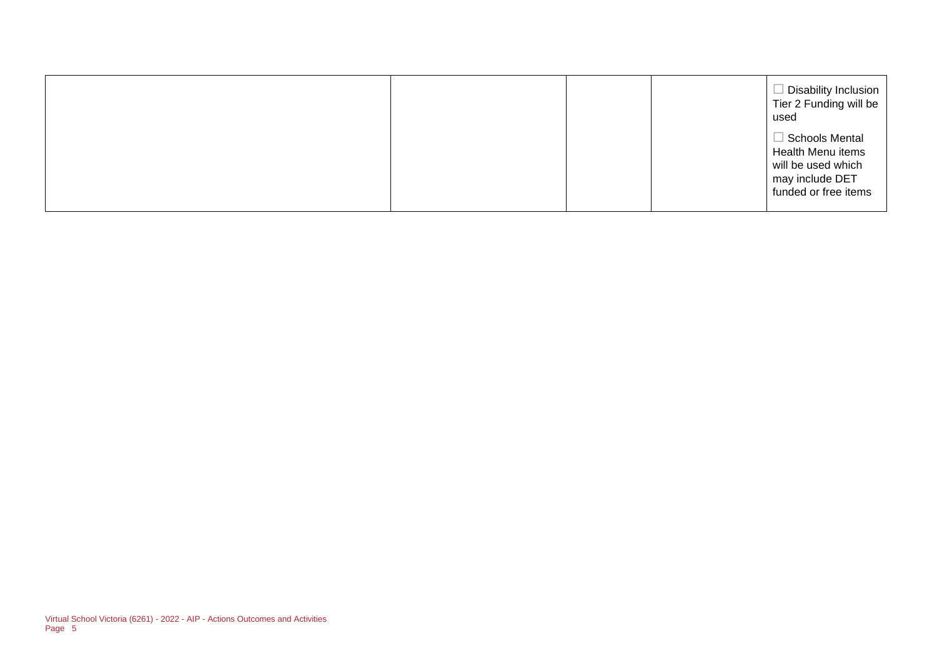|  |  | Disability Inclusion<br>Tier 2 Funding will be<br>used                                               |
|--|--|------------------------------------------------------------------------------------------------------|
|  |  | Schools Mental<br>Health Menu items<br>will be used which<br>may include DET<br>funded or free items |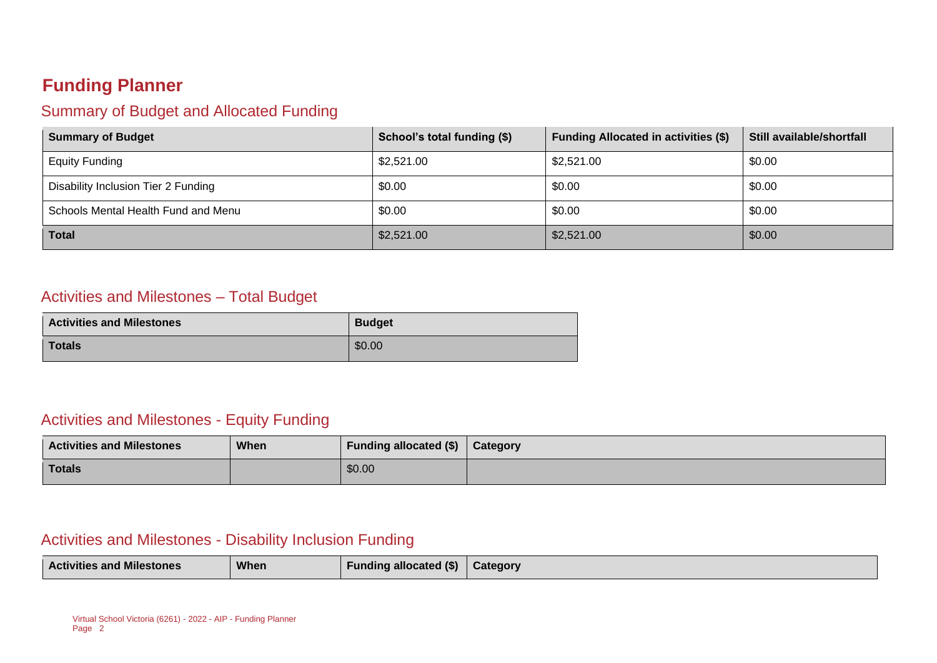### **Funding Planner**

#### Summary of Budget and Allocated Funding

| <b>Summary of Budget</b>            | School's total funding (\$) | <b>Funding Allocated in activities (\$)</b> | Still available/shortfall |
|-------------------------------------|-----------------------------|---------------------------------------------|---------------------------|
| <b>Equity Funding</b>               | \$2,521.00                  | \$2,521.00                                  | \$0.00                    |
| Disability Inclusion Tier 2 Funding | \$0.00                      | \$0.00                                      | \$0.00                    |
| Schools Mental Health Fund and Menu | \$0.00                      | \$0.00                                      | \$0.00                    |
| <b>Total</b>                        | \$2,521.00                  | \$2,521.00                                  | \$0.00                    |

#### Activities and Milestones – Total Budget

| <b>Activities and Milestones</b> | <b>Budget</b> |
|----------------------------------|---------------|
| <b>Totals</b>                    | \$0.00        |

#### Activities and Milestones - Equity Funding

| <b>Activities and Milestones</b> | <b>When</b> | Funding allocated (\$) | Category |
|----------------------------------|-------------|------------------------|----------|
| <b>Totals</b>                    |             | \$0.00                 |          |

#### Activities and Milestones - Disability Inclusion Funding

| When<br><b>Funding allocated (\$)</b><br><b>Activities and Milestones</b><br>Category |  |
|---------------------------------------------------------------------------------------|--|
|---------------------------------------------------------------------------------------|--|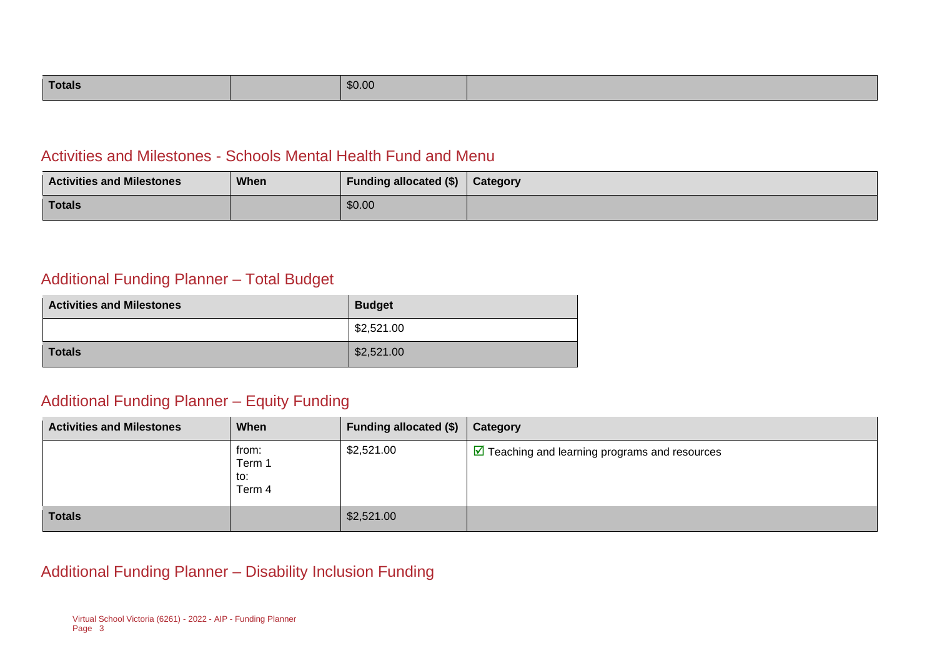| <b>Totals</b> | \$0.00 |  |
|---------------|--------|--|
|---------------|--------|--|

#### Activities and Milestones - Schools Mental Health Fund and Menu

| <b>Activities and Milestones</b> | When | <b>Funding allocated (\$)</b> | Category |
|----------------------------------|------|-------------------------------|----------|
| Totals                           |      | \$0.00                        |          |

#### Additional Funding Planner – Total Budget

| <b>Activities and Milestones</b> | <b>Budget</b> |
|----------------------------------|---------------|
|                                  | \$2,521.00    |
| <b>Totals</b>                    | \$2,521.00    |

#### Additional Funding Planner – Equity Funding

| <b>Activities and Milestones</b> | When                             | <b>Funding allocated (\$)</b> | Category                                                      |
|----------------------------------|----------------------------------|-------------------------------|---------------------------------------------------------------|
|                                  | from:<br>Term 1<br>to:<br>Term 4 | \$2,521.00                    | $\triangleright$ Teaching and learning programs and resources |
| <b>Totals</b>                    |                                  | \$2,521.00                    |                                                               |

#### Additional Funding Planner – Disability Inclusion Funding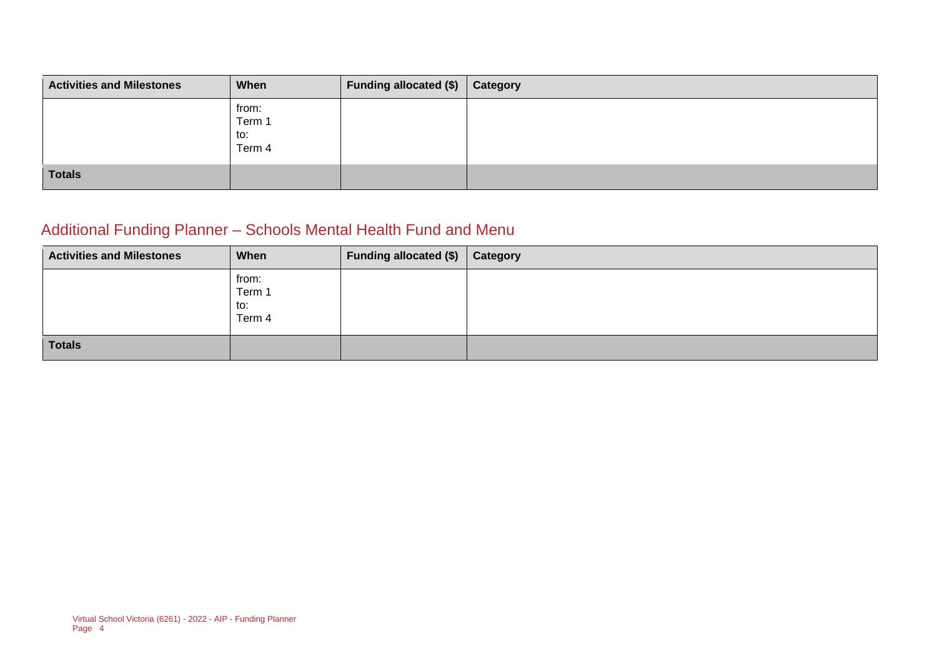| <b>Activities and Milestones</b> | When                             | Funding allocated (\$)   Category |  |
|----------------------------------|----------------------------------|-----------------------------------|--|
|                                  | from:<br>Term 1<br>to:<br>Term 4 |                                   |  |
| <b>Totals</b>                    |                                  |                                   |  |

## Additional Funding Planner – Schools Mental Health Fund and Menu

| <b>Activities and Milestones</b> | When                             | Funding allocated (\$) Category |  |
|----------------------------------|----------------------------------|---------------------------------|--|
|                                  | from:<br>Term 1<br>to:<br>Term 4 |                                 |  |
| Totals                           |                                  |                                 |  |